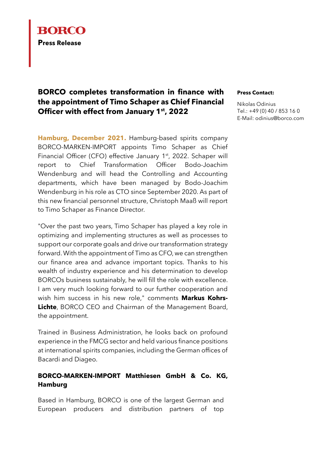

## **BORCO completes transformation in finance with the appointment of Timo Schaper as Chief Financial Officer with effect from January 1st, 2022**

**Hamburg, December 2021.** Hamburg-based spirits company BORCO-MARKEN-IMPORT appoints Timo Schaper as Chief Financial Officer (CFO) effective January 1<sup>st</sup>, 2022. Schaper will report to Chief Transformation Officer Bodo-Joachim Wendenburg and will head the Controlling and Accounting departments, which have been managed by Bodo-Joachim Wendenburg in his role as CTO since September 2020. As part of this new financial personnel structure, Christoph Maaß will report to Timo Schaper as Finance Director.

"Over the past two years, Timo Schaper has played a key role in optimizing and implementing structures as well as processes to support our corporate goals and drive our transformation strategy forward. With the appointment of Timo as CFO, we can strengthen our finance area and advance important topics. Thanks to his wealth of industry experience and his determination to develop BORCOs business sustainably, he will fill the role with excellence. I am very much looking forward to our further cooperation and wish him success in his new role," comments **Markus Kohrs-Lichte**, BORCO CEO and Chairman of the Management Board, the appointment.

Trained in Business Administration, he looks back on profound experience in the FMCG sector and held various finance positions at international spirits companies, including the German offices of Bacardi and Diageo.

## **BORCO-MARKEN-IMPORT Matthiesen GmbH & Co. KG, Hamburg**

Based in Hamburg, BORCO is one of the largest German and European producers and distribution partners of top

## **Press Contact:**

Nikolas Odinius Tel.: +49 (0) 40 / 853 16 0 E-Mail: [odinius@borco.com](mailto:odinius@borco.com)